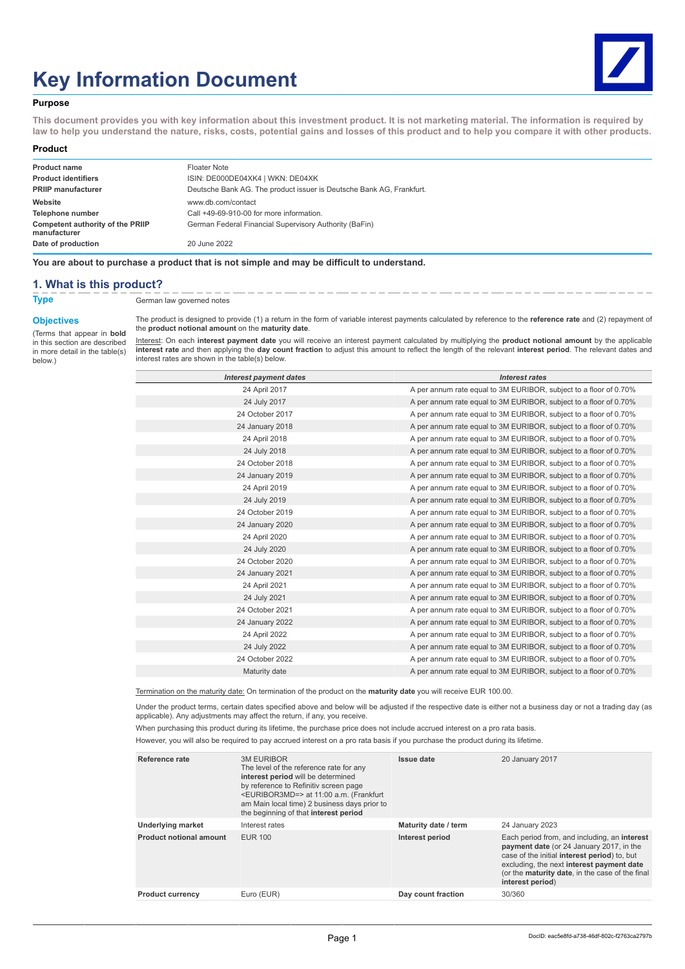# **Key Information Document**



#### **Purpose**

**This document provides you with key information about this investment product. It is not marketing material. The information is required by law to help you understand the nature, risks, costs, potential gains and losses of this product and to help you compare it with other products.**

#### **Product**

| <b>Product name</b>                              | Floater Note                                                         |
|--------------------------------------------------|----------------------------------------------------------------------|
| <b>Product identifiers</b>                       | ISIN: DE000DE04XK4   WKN: DE04XK                                     |
| <b>PRIIP manufacturer</b>                        | Deutsche Bank AG. The product issuer is Deutsche Bank AG, Frankfurt. |
| Website                                          | www.db.com/contact                                                   |
| Telephone number                                 | Call +49-69-910-00 for more information.                             |
| Competent authority of the PRIIP<br>manufacturer | German Federal Financial Supervisory Authority (BaFin)               |
| Date of production                               | 20 June 2022                                                         |

**You are about to purchase a product that is not simple and may be difficult to understand.**

#### **1. What is this product?**

**Type** German law governed notes

# **Objectives**

(Terms that appear in **bold** in this section are described in more detail in the table(s) below.)

The product is designed to provide (1) a return in the form of variable interest payments calculated by reference to the **reference rate** and (2) repayment of the **product notional amount** on the **maturity date**.

<u>Interest</u>: On each **interest payment date** you will receive an interest payment calculated by multiplying the **product notional amount** by the applicable<br>**interest rate** and then applying the **day count fraction** to adjus interest rates are shown in the table(s) below.

| <b>Interest payment dates</b> | <b>Interest rates</b>                                             |
|-------------------------------|-------------------------------------------------------------------|
| 24 April 2017                 | A per annum rate equal to 3M EURIBOR, subject to a floor of 0.70% |
| 24 July 2017                  | A per annum rate equal to 3M EURIBOR, subject to a floor of 0.70% |
| 24 October 2017               | A per annum rate equal to 3M EURIBOR, subject to a floor of 0.70% |
| 24 January 2018               | A per annum rate equal to 3M EURIBOR, subject to a floor of 0.70% |
| 24 April 2018                 | A per annum rate equal to 3M EURIBOR, subject to a floor of 0.70% |
| 24 July 2018                  | A per annum rate equal to 3M EURIBOR, subject to a floor of 0.70% |
| 24 October 2018               | A per annum rate equal to 3M EURIBOR, subject to a floor of 0.70% |
| 24 January 2019               | A per annum rate equal to 3M EURIBOR, subject to a floor of 0.70% |
| 24 April 2019                 | A per annum rate equal to 3M EURIBOR, subject to a floor of 0.70% |
| 24 July 2019                  | A per annum rate equal to 3M EURIBOR, subject to a floor of 0.70% |
| 24 October 2019               | A per annum rate equal to 3M EURIBOR, subject to a floor of 0.70% |
| 24 January 2020               | A per annum rate equal to 3M EURIBOR, subject to a floor of 0.70% |
| 24 April 2020                 | A per annum rate equal to 3M EURIBOR, subject to a floor of 0.70% |
| 24 July 2020                  | A per annum rate equal to 3M EURIBOR, subject to a floor of 0.70% |
| 24 October 2020               | A per annum rate equal to 3M EURIBOR, subject to a floor of 0.70% |
| 24 January 2021               | A per annum rate equal to 3M EURIBOR, subject to a floor of 0.70% |
| 24 April 2021                 | A per annum rate equal to 3M EURIBOR, subject to a floor of 0.70% |
| 24 July 2021                  | A per annum rate equal to 3M EURIBOR, subject to a floor of 0.70% |
| 24 October 2021               | A per annum rate equal to 3M EURIBOR, subject to a floor of 0.70% |
| 24 January 2022               | A per annum rate equal to 3M EURIBOR, subject to a floor of 0.70% |
| 24 April 2022                 | A per annum rate equal to 3M EURIBOR, subject to a floor of 0.70% |
| 24 July 2022                  | A per annum rate equal to 3M EURIBOR, subject to a floor of 0.70% |
| 24 October 2022               | A per annum rate equal to 3M EURIBOR, subject to a floor of 0.70% |
| Maturity date                 | A per annum rate equal to 3M EURIBOR, subject to a floor of 0.70% |
|                               |                                                                   |

Termination on the maturity date: On termination of the product on the **maturity date** you will receive EUR 100.00.

Under the product terms, certain dates specified above and below will be adjusted if the respective date is either not a business day or not a trading day (as applicable). Any adjustments may affect the return, if any, you receive.

When purchasing this product during its lifetime, the purchase price does not include accrued interest on a pro rata basis.

However, you will also be required to pay accrued interest on a pro rata basis if you purchase the product during its lifetime.

| Reference rate                 | <b>3M EURIBOR</b><br>The level of the reference rate for any<br>interest period will be determined<br>by reference to Refinitiv screen page<br><euribor3md=> at 11:00 a.m. (Frankfurt<br/>am Main local time) 2 business days prior to<br/>the beginning of that interest period</euribor3md=> | <b>Issue date</b>    | 20 January 2017                                                                                                                                                                                                                                              |
|--------------------------------|------------------------------------------------------------------------------------------------------------------------------------------------------------------------------------------------------------------------------------------------------------------------------------------------|----------------------|--------------------------------------------------------------------------------------------------------------------------------------------------------------------------------------------------------------------------------------------------------------|
| <b>Underlying market</b>       | Interest rates                                                                                                                                                                                                                                                                                 | Maturity date / term | 24 January 2023                                                                                                                                                                                                                                              |
| <b>Product notional amount</b> | <b>EUR 100</b>                                                                                                                                                                                                                                                                                 | Interest period      | Each period from, and including, an interest<br>payment date (or 24 January 2017, in the<br>case of the initial interest period) to, but<br>excluding, the next interest payment date<br>(or the maturity date, in the case of the final<br>interest period) |
| <b>Product currency</b>        | Euro (EUR)                                                                                                                                                                                                                                                                                     | Day count fraction   | 30/360                                                                                                                                                                                                                                                       |
|                                |                                                                                                                                                                                                                                                                                                |                      |                                                                                                                                                                                                                                                              |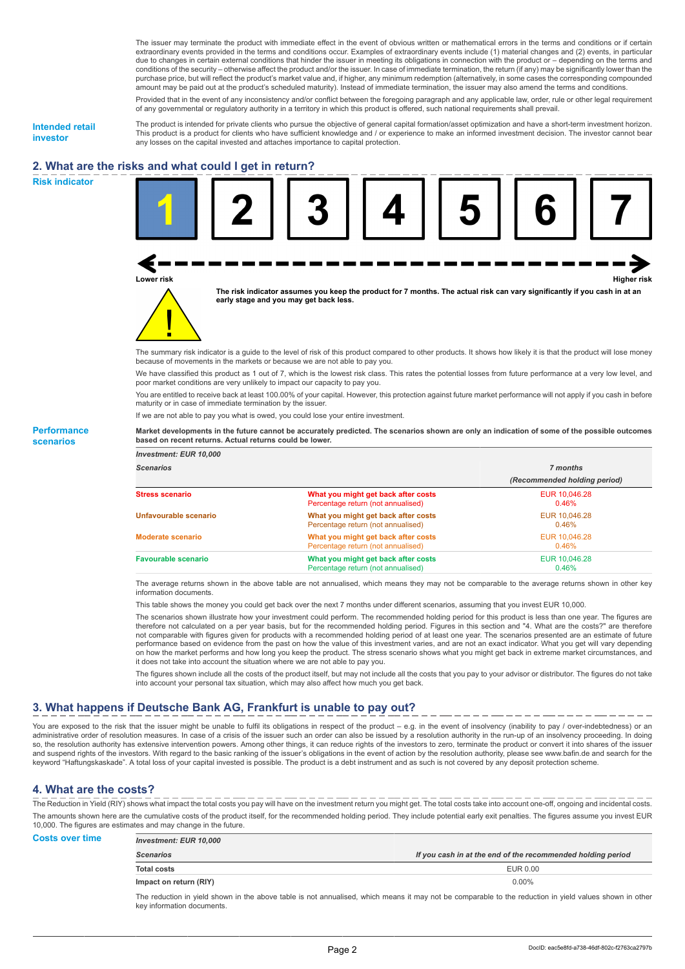The issuer may terminate the product with immediate effect in the event of obvious written or mathematical errors in the terms and conditions or if certain extraordinary events provided in the terms and conditions occur. Examples of extraordinary events include (1) material changes and (2) events, in particular due to changes in certain external conditions that hinder the issuer in meeting its obligations in connection with the product or – depending on the terms and conditions of the security – otherwise affect the product and/or the issuer. In case of immediate termination, the return (if any) may be significantly lower than the purchase price, but will reflect the product's market value and, if higher, any minimum redemption (alternatively, in some cases the corresponding compounded amount may be paid out at the product's scheduled maturity). Instead of immediate termination, the issuer may also amend the terms and conditions.

Provided that in the event of any inconsistency and/or conflict between the foregoing paragraph and any applicable law, order, rule or other legal requirement of any governmental or regulatory authority in a territory in which this product is offered, such national requirements shall prevail.

**Intended retail investor**

**Risk indicator**

**Performance scenarios**

The product is intended for private clients who pursue the objective of general capital formation/asset optimization and have a short-term investment horizon. This product is a product for clients who have sufficient knowledge and / or experience to make an informed investment decision. The investor cannot bear any losses on the capital invested and attaches importance to capital protection.

# **2. What are the risks and what could I get in return?**



The summary risk indicator is a guide to the level of risk of this product compared to other products. It shows how likely it is that the product will lose money because of movements in the markets or because we are not able to pay you.

We have classified this product as 1 out of 7, which is the lowest risk class. This rates the potential losses from future performance at a very low level, and poor market conditions are very unlikely to impact our capacity to pay you.

You are entitled to receive back at least 100.00% of your capital. However, this protection against future market performance will not apply if you cash in before maturity or in case of immediate termination by the issuer.

If we are not able to pay you what is owed, you could lose your entire investment.

**Market developments in the future cannot be accurately predicted. The scenarios shown are only an indication of some of the possible outcomes based on recent returns. Actual returns could be lower.**

| <b>Investment: EUR 10,000</b> |                                                                           |                              |
|-------------------------------|---------------------------------------------------------------------------|------------------------------|
| <b>Scenarios</b>              |                                                                           | 7 months                     |
|                               |                                                                           | (Recommended holding period) |
| <b>Stress scenario</b>        | What you might get back after costs<br>Percentage return (not annualised) | EUR 10.046.28<br>$0.46\%$    |
| Unfavourable scenario         | What you might get back after costs<br>Percentage return (not annualised) | EUR 10.046.28<br>0.46%       |
| <b>Moderate scenario</b>      | What you might get back after costs<br>Percentage return (not annualised) | EUR 10.046.28<br>0.46%       |
| <b>Favourable scenario</b>    | What you might get back after costs<br>Percentage return (not annualised) | EUR 10.046.28<br>0.46%       |

The average returns shown in the above table are not annualised, which means they may not be comparable to the average returns shown in other key information documents.

This table shows the money you could get back over the next 7 months under different scenarios, assuming that you invest EUR 10,000.

The scenarios shown illustrate how your investment could perform. The recommended holding period for this product is less than one year. The figures are therefore not calculated on a per year basis, but for the recommended holding period. Figures in this section and "4. What are the costs?" are therefore not comparable with figures given for products with a recommended holding period of at least one year. The scenarios presented are an estimate of future performance based on evidence from the past on how the value of this investment varies, and are not an exact indicator. What you get will vary depending on how the market performs and how long you keep the product. The stress scenario shows what you might get back in extreme market circumstances, and it does not take into account the situation where we are not able to pay you.

The figures shown include all the costs of the product itself, but may not include all the costs that you pay to your advisor or distributor. The figures do not take into account your personal tax situation, which may also affect how much you get back.

### **3. What happens if Deutsche Bank AG, Frankfurt is unable to pay out?**

You are exposed to the risk that the issuer might be unable to fulfil its obligations in respect of the product – e.g. in the event of insolvency (inability to pay / over-indebtedness) or an administrative order of resolution measures. In case of a crisis of the issuer such an order can also be issued by a resolution authority in the run-up of an insolvency proceeding. In doing so, the resolution authority has extensive intervention powers. Among other things, it can reduce rights of the investors to zero, terminate the product or convert it into shares of the issuer<br>and suspend rights of the inv keyword "Haftungskaskade". A total loss of your capital invested is possible. The product is a debt instrument and as such is not covered by any deposit protection scheme.

### **4. What are the costs?**

The Reduction in Yield (RIY) shows what impact the total costs you pay will have on the investment return you might get. The total costs take into account one-off, ongoing and incidental costs. The amounts shown here are the cumulative costs of the product itself, for the recommended holding period. They include potential early exit penalties. The figures assume you invest EUR 10,000. The figures are estimates and may change in the future.

| <b>Costs over time</b> | <b>Investment: EUR 10,000</b> |                                                             |
|------------------------|-------------------------------|-------------------------------------------------------------|
|                        | <b>Scenarios</b>              | If you cash in at the end of the recommended holding period |
|                        | <b>Total costs</b>            | EUR 0.00                                                    |
|                        | Impact on return (RIY)        | $0.00\%$                                                    |
|                        |                               |                                                             |

The reduction in yield shown in the above table is not annualised, which means it may not be comparable to the reduction in yield values shown in other key information documents.